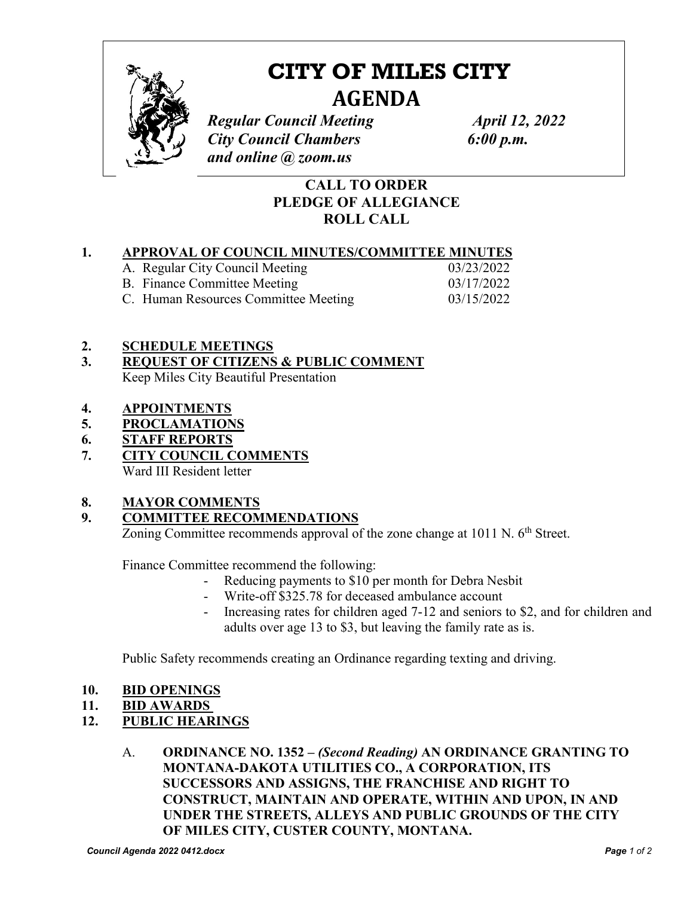

# **CITY OF MILES CITY AGENDA**

*Regular Council Meeting <i>April 12, 2022 City Council Chambers 6:00 p.m. and online @ zoom.us*

# **CALL TO ORDER PLEDGE OF ALLEGIANCE ROLL CALL**

## **1. APPROVAL OF COUNCIL MINUTES/COMMITTEE MINUTES**

| A. Regular City Council Meeting      | 03/23/2022 |
|--------------------------------------|------------|
| B. Finance Committee Meeting         | 03/17/2022 |
| C. Human Resources Committee Meeting | 03/15/2022 |

#### **2. SCHEDULE MEETINGS**

- **3. REQUEST OF CITIZENS & PUBLIC COMMENT**  Keep Miles City Beautiful Presentation
- **4. APPOINTMENTS**
- **5. PROCLAMATIONS**
- **6. STAFF REPORTS**
- **7. CITY COUNCIL COMMENTS**  Ward III Resident letter

## **8. MAYOR COMMENTS**

## **9. COMMITTEE RECOMMENDATIONS**

Zoning Committee recommends approval of the zone change at 1011 N. 6<sup>th</sup> Street.

Finance Committee recommend the following:

- Reducing payments to \$10 per month for Debra Nesbit
- Write-off \$325.78 for deceased ambulance account
- Increasing rates for children aged 7-12 and seniors to \$2, and for children and adults over age 13 to \$3, but leaving the family rate as is.

Public Safety recommends creating an Ordinance regarding texting and driving.

- **10. BID OPENINGS**
- **11. BID AWARDS**

## **12. PUBLIC HEARINGS**

A. **ORDINANCE NO. 1352 –** *(Second Reading)* **AN ORDINANCE GRANTING TO MONTANA-DAKOTA UTILITIES CO., A CORPORATION, ITS SUCCESSORS AND ASSIGNS, THE FRANCHISE AND RIGHT TO CONSTRUCT, MAINTAIN AND OPERATE, WITHIN AND UPON, IN AND UNDER THE STREETS, ALLEYS AND PUBLIC GROUNDS OF THE CITY OF MILES CITY, CUSTER COUNTY, MONTANA.**